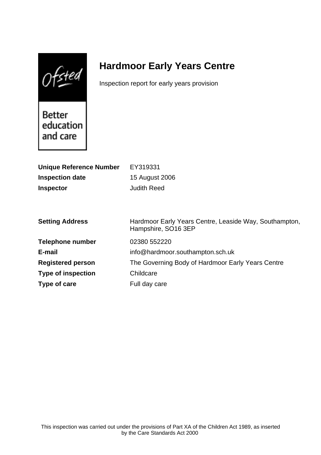$0$ fsted

# **Hardmoor Early Years Centre**

Inspection report for early years provision

Better education and care

| <b>Unique Reference Number</b> | EY319331                                                                      |
|--------------------------------|-------------------------------------------------------------------------------|
| <b>Inspection date</b>         | 15 August 2006                                                                |
| <b>Inspector</b>               | <b>Judith Reed</b>                                                            |
|                                |                                                                               |
|                                |                                                                               |
| <b>Setting Address</b>         | Hardmoor Early Years Centre, Leaside Way, Southampton,<br>Hampshire, SO16 3EP |
| <b>Telephone number</b>        | 02380 552220                                                                  |
| E-mail                         | info@hardmoor.southampton.sch.uk                                              |
| <b>Registered person</b>       | The Governing Body of Hardmoor Early Years Centre                             |
| <b>Type of inspection</b>      | Childcare                                                                     |
| Type of care                   | Full day care                                                                 |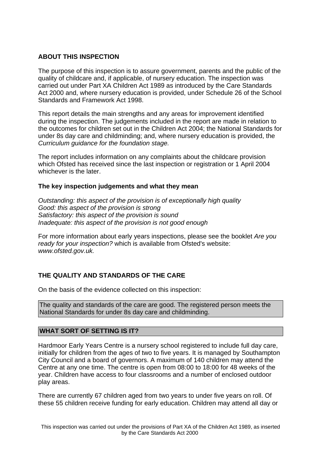# **ABOUT THIS INSPECTION**

The purpose of this inspection is to assure government, parents and the public of the quality of childcare and, if applicable, of nursery education. The inspection was carried out under Part XA Children Act 1989 as introduced by the Care Standards Act 2000 and, where nursery education is provided, under Schedule 26 of the School Standards and Framework Act 1998.

This report details the main strengths and any areas for improvement identified during the inspection. The judgements included in the report are made in relation to the outcomes for children set out in the Children Act 2004; the National Standards for under 8s day care and childminding; and, where nursery education is provided, the Curriculum guidance for the foundation stage.

The report includes information on any complaints about the childcare provision which Ofsted has received since the last inspection or registration or 1 April 2004 whichever is the later.

#### **The key inspection judgements and what they mean**

Outstanding: this aspect of the provision is of exceptionally high quality Good: this aspect of the provision is strong Satisfactory: this aspect of the provision is sound Inadequate: this aspect of the provision is not good enough

For more information about early years inspections, please see the booklet Are you ready for your inspection? which is available from Ofsted's website: www.ofsted.gov.uk.

# **THE QUALITY AND STANDARDS OF THE CARE**

On the basis of the evidence collected on this inspection:

The quality and standards of the care are good. The registered person meets the National Standards for under 8s day care and childminding.

#### **WHAT SORT OF SETTING IS IT?**

Hardmoor Early Years Centre is a nursery school registered to include full day care, initially for children from the ages of two to five years. It is managed by Southampton City Council and a board of governors. A maximum of 140 children may attend the Centre at any one time. The centre is open from 08:00 to 18:00 for 48 weeks of the year. Children have access to four classrooms and a number of enclosed outdoor play areas.

There are currently 67 children aged from two years to under five years on roll. Of these 55 children receive funding for early education. Children may attend all day or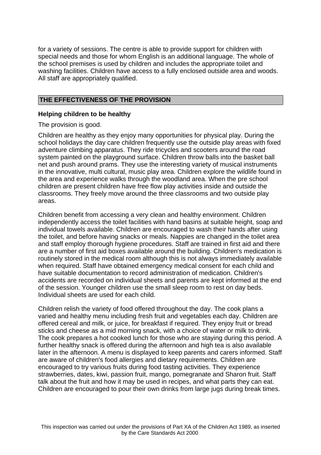for a variety of sessions. The centre is able to provide support for children with special needs and those for whom English is an additional language. The whole of the school premises is used by children and includes the appropriate toilet and washing facilities. Children have access to a fully enclosed outside area and woods. All staff are appropriately qualified.

## **THE EFFECTIVENESS OF THE PROVISION**

#### **Helping children to be healthy**

The provision is good.

Children are healthy as they enjoy many opportunities for physical play. During the school holidays the day care children frequently use the outside play areas with fixed adventure climbing apparatus. They ride tricycles and scooters around the road system painted on the playground surface. Children throw balls into the basket ball net and push around prams. They use the interesting variety of musical instruments in the innovative, multi cultural, music play area. Children explore the wildlife found in the area and experience walks through the woodland area. When the pre school children are present children have free flow play activities inside and outside the classrooms. They freely move around the three classrooms and two outside play areas.

Children benefit from accessing a very clean and healthy environment. Children independently access the toilet facilities with hand basins at suitable height, soap and individual towels available. Children are encouraged to wash their hands after using the toilet, and before having snacks or meals. Nappies are changed in the toilet area and staff employ thorough hygiene procedures. Staff are trained in first aid and there are a number of first aid boxes available around the building. Children's medication is routinely stored in the medical room although this is not always immediately available when required. Staff have obtained emergency medical consent for each child and have suitable documentation to record administration of medication. Children's accidents are recorded on individual sheets and parents are kept informed at the end of the session. Younger children use the small sleep room to rest on day beds. Individual sheets are used for each child.

Children relish the variety of food offered throughout the day. The cook plans a varied and healthy menu including fresh fruit and vegetables each day. Children are offered cereal and milk, or juice, for breakfast if required. They enjoy fruit or bread sticks and cheese as a mid morning snack, with a choice of water or milk to drink. The cook prepares a hot cooked lunch for those who are staying during this period. A further healthy snack is offered during the afternoon and high tea is also available later in the afternoon. A menu is displayed to keep parents and carers informed. Staff are aware of children's food allergies and dietary requirements. Children are encouraged to try various fruits during food tasting activities. They experience strawberries, dates, kiwi, passion fruit, mango, pomegranate and Sharon fruit. Staff talk about the fruit and how it may be used in recipes, and what parts they can eat. Children are encouraged to pour their own drinks from large jugs during break times.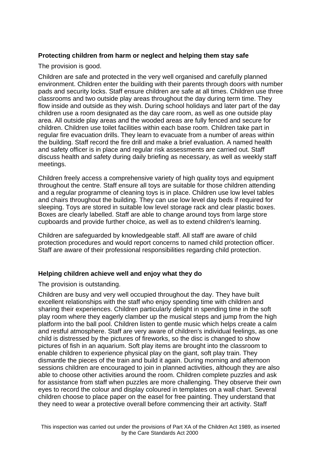# **Protecting children from harm or neglect and helping them stay safe**

The provision is good.

Children are safe and protected in the very well organised and carefully planned environment. Children enter the building with their parents through doors with number pads and security locks. Staff ensure children are safe at all times. Children use three classrooms and two outside play areas throughout the day during term time. They flow inside and outside as they wish. During school holidays and later part of the day children use a room designated as the day care room, as well as one outside play area. All outside play areas and the wooded areas are fully fenced and secure for children. Children use toilet facilities within each base room. Children take part in regular fire evacuation drills. They learn to evacuate from a number of areas within the building. Staff record the fire drill and make a brief evaluation. A named health and safety officer is in place and regular risk assessments are carried out. Staff discuss health and safety during daily briefing as necessary, as well as weekly staff meetings.

Children freely access a comprehensive variety of high quality toys and equipment throughout the centre. Staff ensure all toys are suitable for those children attending and a regular programme of cleaning toys is in place. Children use low level tables and chairs throughout the building. They can use low level day beds if required for sleeping. Toys are stored in suitable low level storage rack and clear plastic boxes. Boxes are clearly labelled. Staff are able to change around toys from large store cupboards and provide further choice, as well as to extend children's learning.

Children are safeguarded by knowledgeable staff. All staff are aware of child protection procedures and would report concerns to named child protection officer. Staff are aware of their professional responsibilities regarding child protection.

# **Helping children achieve well and enjoy what they do**

The provision is outstanding.

Children are busy and very well occupied throughout the day. They have built excellent relationships with the staff who enjoy spending time with children and sharing their experiences. Children particularly delight in spending time in the soft play room where they eagerly clamber up the musical steps and jump from the high platform into the ball pool. Children listen to gentle music which helps create a calm and restful atmosphere. Staff are very aware of children's individual feelings, as one child is distressed by the pictures of fireworks, so the disc is changed to show pictures of fish in an aquarium. Soft play items are brought into the classroom to enable children to experience physical play on the giant, soft play train. They dismantle the pieces of the train and build it again. During morning and afternoon sessions children are encouraged to join in planned activities, although they are also able to choose other activities around the room. Children complete puzzles and ask for assistance from staff when puzzles are more challenging. They observe their own eyes to record the colour and display coloured in templates on a wall chart. Several children choose to place paper on the easel for free painting. They understand that they need to wear a protective overall before commencing their art activity. Staff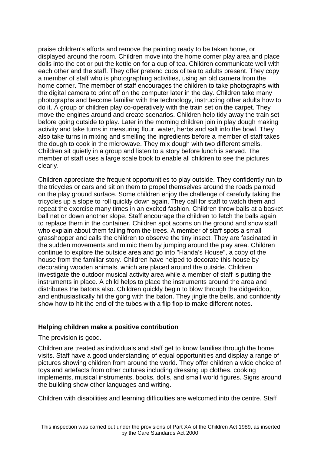praise children's efforts and remove the painting ready to be taken home, or displayed around the room. Children move into the home corner play area and place dolls into the cot or put the kettle on for a cup of tea. Children communicate well with each other and the staff. They offer pretend cups of tea to adults present. They copy a member of staff who is photographing activities, using an old camera from the home corner. The member of staff encourages the children to take photographs with the digital camera to print off on the computer later in the day. Children take many photographs and become familiar with the technology, instructing other adults how to do it. A group of children play co-operatively with the train set on the carpet. They move the engines around and create scenarios. Children help tidy away the train set before going outside to play. Later in the morning children join in play dough making activity and take turns in measuring flour, water, herbs and salt into the bowl. They also take turns in mixing and smelling the ingredients before a member of staff takes the dough to cook in the microwave. They mix dough with two different smells. Children sit quietly in a group and listen to a story before lunch is served. The member of staff uses a large scale book to enable all children to see the pictures clearly.

Children appreciate the frequent opportunities to play outside. They confidently run to the tricycles or cars and sit on them to propel themselves around the roads painted on the play ground surface. Some children enjoy the challenge of carefully taking the tricycles up a slope to roll quickly down again. They call for staff to watch them and repeat the exercise many times in an excited fashion. Children throw balls at a basket ball net or down another slope. Staff encourage the children to fetch the balls again to replace them in the container. Children spot acorns on the ground and show staff who explain about them falling from the trees. A member of staff spots a small grasshopper and calls the children to observe the tiny insect. They are fascinated in the sudden movements and mimic them by jumping around the play area. Children continue to explore the outside area and go into "Handa's House", a copy of the house from the familiar story. Children have helped to decorate this house by decorating wooden animals, which are placed around the outside. Children investigate the outdoor musical activity area while a member of staff is putting the instruments in place. A child helps to place the instruments around the area and distributes the batons also. Children quickly begin to blow through the didgeridoo, and enthusiastically hit the gong with the baton. They jingle the bells, and confidently show how to hit the end of the tubes with a flip flop to make different notes.

#### **Helping children make a positive contribution**

The provision is good.

Children are treated as individuals and staff get to know families through the home visits. Staff have a good understanding of equal opportunities and display a range of pictures showing children from around the world. They offer children a wide choice of toys and artefacts from other cultures including dressing up clothes, cooking implements, musical instruments, books, dolls, and small world figures. Signs around the building show other languages and writing.

Children with disabilities and learning difficulties are welcomed into the centre. Staff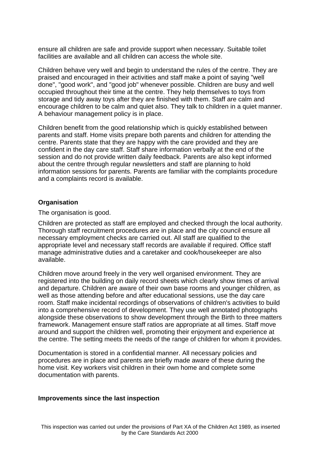ensure all children are safe and provide support when necessary. Suitable toilet facilities are available and all children can access the whole site.

Children behave very well and begin to understand the rules of the centre. They are praised and encouraged in their activities and staff make a point of saying "well done", "good work", and "good job" whenever possible. Children are busy and well occupied throughout their time at the centre. They help themselves to toys from storage and tidy away toys after they are finished with them. Staff are calm and encourage children to be calm and quiet also. They talk to children in a quiet manner. A behaviour management policy is in place.

Children benefit from the good relationship which is quickly established between parents and staff. Home visits prepare both parents and children for attending the centre. Parents state that they are happy with the care provided and they are confident in the day care staff. Staff share information verbally at the end of the session and do not provide written daily feedback. Parents are also kept informed about the centre through regular newsletters and staff are planning to hold information sessions for parents. Parents are familiar with the complaints procedure and a complaints record is available.

#### **Organisation**

The organisation is good.

Children are protected as staff are employed and checked through the local authority. Thorough staff recruitment procedures are in place and the city council ensure all necessary employment checks are carried out. All staff are qualified to the appropriate level and necessary staff records are available if required. Office staff manage administrative duties and a caretaker and cook/housekeeper are also available.

Children move around freely in the very well organised environment. They are registered into the building on daily record sheets which clearly show times of arrival and departure. Children are aware of their own base rooms and younger children, as well as those attending before and after educational sessions, use the day care room. Staff make incidental recordings of observations of children's activities to build into a comprehensive record of development. They use well annotated photographs alongside these observations to show development through the Birth to three matters framework. Management ensure staff ratios are appropriate at all times. Staff move around and support the children well, promoting their enjoyment and experience at the centre. The setting meets the needs of the range of children for whom it provides.

Documentation is stored in a confidential manner. All necessary policies and procedures are in place and parents are briefly made aware of these during the home visit. Key workers visit children in their own home and complete some documentation with parents.

#### **Improvements since the last inspection**